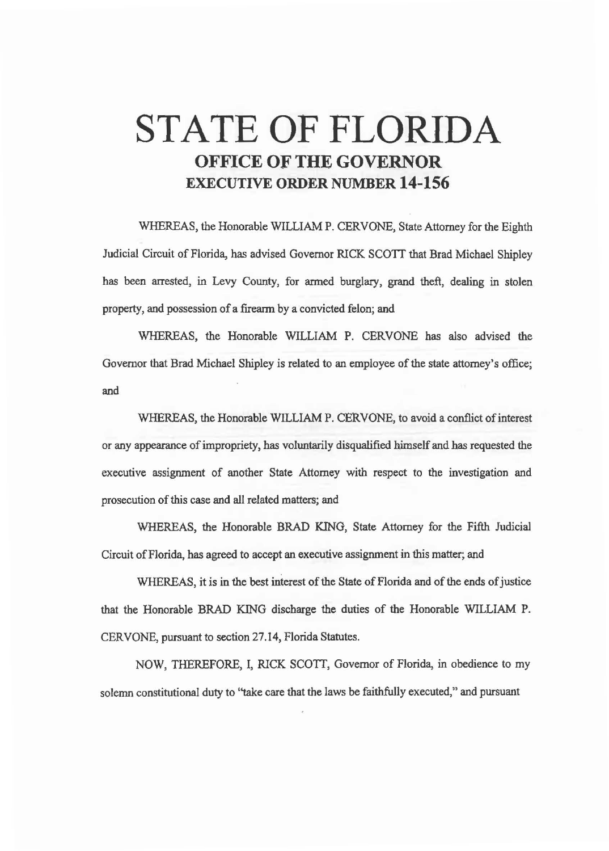# STATE OF FLORIDA OFFICE OF THE GOVERNOR EXECUTIVE ORDER NUMBER 14-156

WHEREAS, the Honorable WILLIAM P. CERVONE, State Attorney for the Eighth Judicial Circuit of Florida, has advised Governor RICK SCOTI that Brad Michael Shipley has been arrested, in Levy County, for armed burglary, grand theft, dealing in stolen property, and possession of a firearm by a convicted felon; and

WHEREAS, the Honorable WILLIAM P. CERVONE has also advised the Governor that Brad Michael Shipley is related to an employee of the state attorney's office; and

WHEREAS, the Honorable WILLIAM P. CERVONE, to avoid a conflict of interest or any appearance of impropriety, has voluntarily disqualified himself and has requested the executive assignment of another State Attorney with respect to the investigation and prosecution of this case and all related matters; and

WHEREAS, the Honorable BRAD KING, State Attorney for the Fifth Judicial Circuit of Florida, has agreed to accept an executive assignment in this matter; and

WHEREAS, it is in the best interest of the State of Florida and of the ends of justice that the Honorable BRAD KING discharge the duties of the Honorable WILLIAM P. CERVONE, pursuant to section 27.14, Florida Statutes.

NOW, THEREFORE, I, RICK SCOTT, Governor of Florida, in obedience to my solemn constitutional duty to ''take care that the laws be faithfully executed,'' and pursuant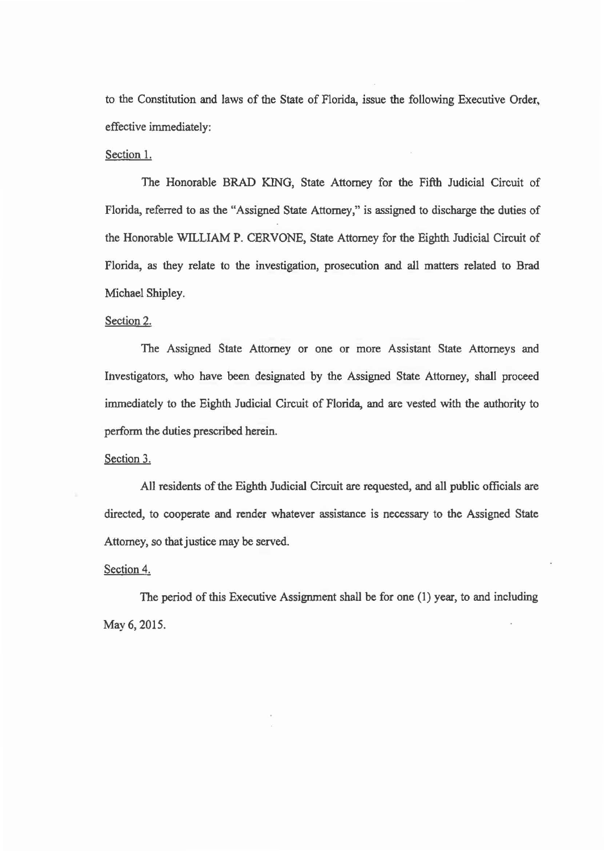to the Constitution and laws of the State of Florida, issue the following Executive Order. effective immediately:

#### Section 1.

The Honorable BRAD KING, State Attorney for the Fifth Judicial Circuit of Florida, referred to as the "Assigned State Attorney," is assigned to discharge the duties of the Honorable WILLIAM P. CERVONE, State Attorney for the Eighth Judicial Circuit of Florida, as they relate to the investigation, prosecution and all matters related to Brad Michael Shipley.

### Section 2.

The Assigned State Attorney or one or more Assistant State Attorneys and Investigators, who have been designated by the Assigned State Attorney, shall proceed immediately to the Eighth Judicial Circuit of Florida, and are vested with the authority to perform the duties prescribed herein.

## Section 3.

All residents of the Eighth Judicial Circuit are requested, and all public officials are directed, to cooperate and render whatever assistance is necessary to the Assigned State Attorney, so that justice may be served.

## Section 4.

The period of this Executive Assignment shall be for one (1) year, to and including May6, 2015.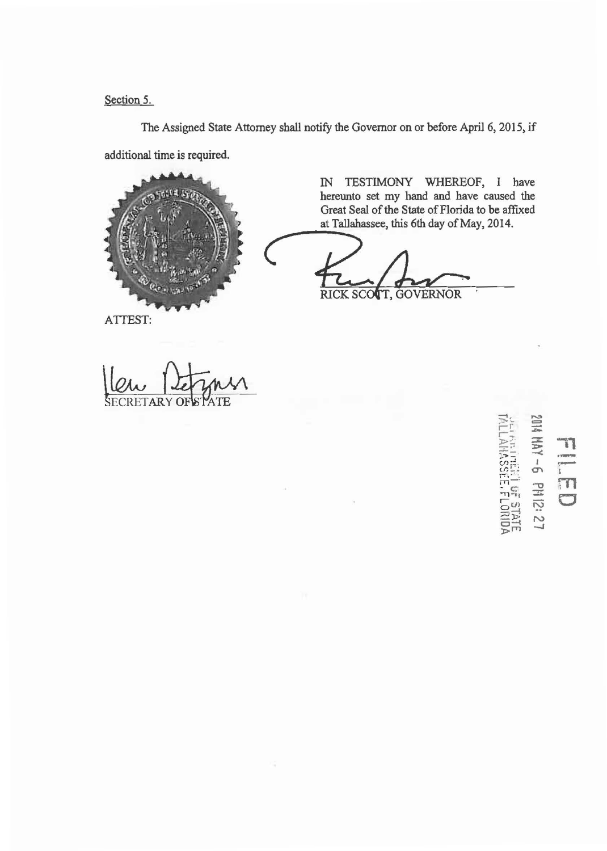Section 5.

The Assigned State Attorney shall notify the Governor on or before April 6, 2015, if additional time is required.



IN TESTIMONY WHEREOF, I have hereunto set my hand and have caused the<br>Great Seal of the State of Florida to be affixed Great Seal of the State of Florida to be affixed<br>at Tallahassee, this 6th day of May, 2014. at Tallahassee, this 6th day of May, 2014.

RICK SCOTT, GOVERNOR

ATTEST:

ECRETARY OF

 $\frac{1}{\tilde{K} \square N}$ ~::. :::% > -:'-- .,.:>-: -< .,, **FELER**<br>
Helper<br>
THE<br> **C** · m  $\overline{C}_{\alpha}$  is  $\overline{C}_{\alpha}$ 

 $\equiv$ 

 $r =$ -··

r;·

~);! N CJ;......i \_, )>r"T'l

rri  $\frac{1}{2}$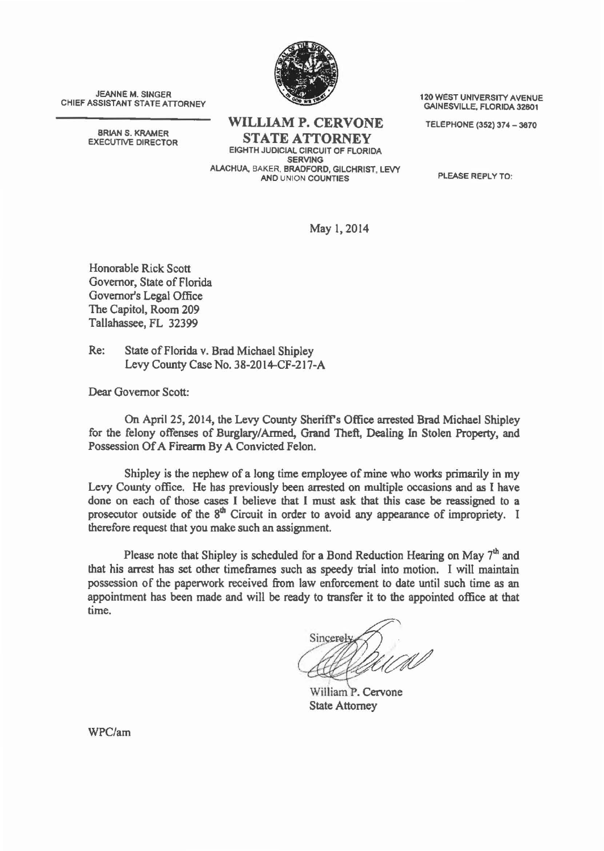

JEANNE M. SINGER<br>CHIEF ASSISTANT STATE ATTORNEY GAINESVILLE, FLORIDA 32801

BRIAN S. KRAMER<br>EXECUTIVE DIRECTOR

WILLIAM P. CERVONE TELEPHONE (352) 374 - 3670 **STATE ATTORNEY** 

EIGHTH JUDICIAL CIRCUIT OF FLORIDA SERVING ALACHUA, BAKER. BRADFORD, GILCHRIST, LEVY AND UNION COUNTIES PLEASE REPLY TO:

May 1, 2014

Honorable Rick Scott Governor, State of Florida Governor's Legal Office The Capitol, Room 209 Tallahassee, FL 32399

Re: State of Florida v. Brad Michael Shipley Levy County Case No. 38-2014-CF-217-A

Dear Governor Scott:

On April 25, 2014, the Levy County Sheriff's Office arrested Brad Michael Shipley for the felony offenses of Burglary/ Armed, Grand Theft, Dealing In Stolen Property, and Possession Of A Firearm By A Convicted Felon.

Shipley is the nephew of a long time employee of mine who works primarily in my Levy County office. He has previously been arrested on multiple occasions and as I have done on each of those cases I believe that I must ask that this case be reassigned to a prosecutor outside of the 8<sup>th</sup> Circuit in order to avoid any appearance of impropriety. I therefore request that you make such an assignment.

Please note that Shipley is scheduled for a Bond Reduction Hearing on May  $7<sup>th</sup>$  and that his arrest has set other timeframes such as speedy trial into motion. I will maintain possession of the paperwork received from law enforcement to date until such time as an appointment has been made and will be ready to transfer it to the appointed office at that time.

Sincerel

William P. Cervone State Attorney

WPC/am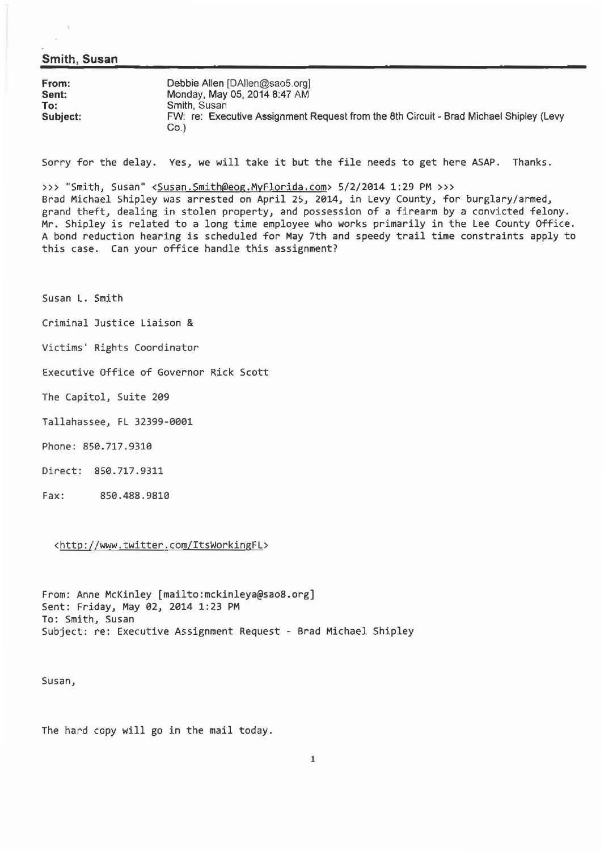#### **Smith, Susan**

| From:    | Debbie Allen [DAllen@sao5.org]                                                                 |
|----------|------------------------------------------------------------------------------------------------|
| Sent:    | Monday, May 05, 2014 8:47 AM                                                                   |
| To:      | Smith, Susan                                                                                   |
| Subject: | FW: re: Executive Assignment Request from the 8th Circuit - Brad Michael Shipley (Levy<br>Co.) |

Sorry for the delay. Yes, we will take it but the file needs to get here ASAP. Thanks.

>>> "Smith, Susan" <Susan.Smith@eog.MyFlorida.com> 5/2/2014 1:29 PM >>>

Brad Michael Shipley was arrested on April 25, 2014, in Levy County, for burglary/armed, grand theft, dealing in stolen property, and possession of a firearm by a convicted felony . Mr. Shipley is related to a long time employee who works primarily in the Lee County Office. A bond reduction hearing is scheduled for May 7th and speedy trail time constraints apply to this case. Can your office handle this assignment?

Susan L. Smith

Criminal Justice Liaison &

Victims' Rights Coordinator

Executive Office of Governor Rick Scott

The Capitol, Suite 209

- Tallahassee, FL 32399-0001
- Phone: 850.717.9310
- Direct: 850.717 .9311
- Fax: 850.488.9810

<http://www .twitter.com/ItsWorkingFL>

From: Anne McKinley [mailto:mckinleya@sao8.org] Sent: Friday, May 02, 2014 1:23 PM To : Smith, Susan Subject: re: Executive Assignment Request - Brad Michael Shipley

Susan,

The hard copy will go in the mail today.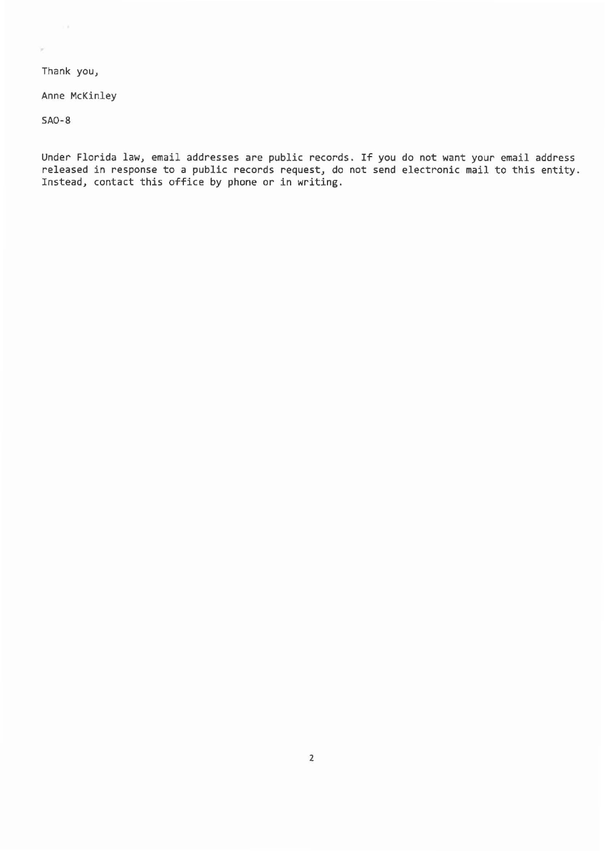Thank you,

 $\sim$   $\lambda$ 

ý

Anne McKinley

SA0-8

Under Florida law, email addresses are public records. If you do not want your email address released in response to a public records request, do not send electronic mail to this entity. Instead, contact this office by phone or in writing.